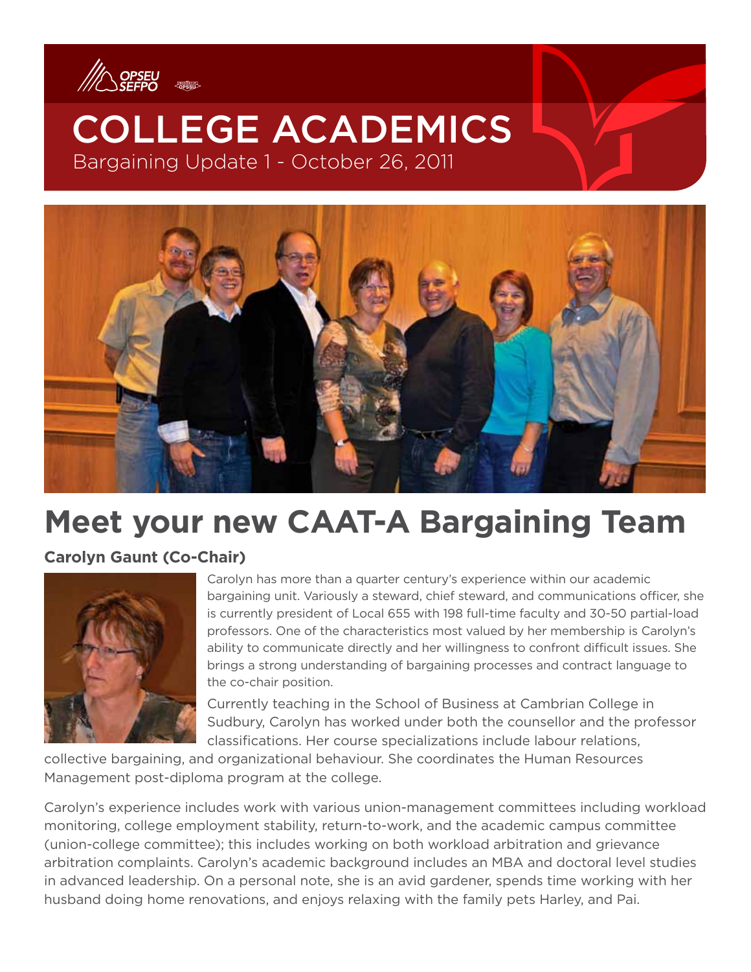



# **Meet your new CAAT-A Bargaining Team**

## **Carolyn Gaunt (Co-Chair)**



Carolyn has more than a quarter century's experience within our academic bargaining unit. Variously a steward, chief steward, and communications officer, she is currently president of Local 655 with 198 full-time faculty and 30-50 partial-load professors. One of the characteristics most valued by her membership is Carolyn's ability to communicate directly and her willingness to confront difficult issues. She brings a strong understanding of bargaining processes and contract language to the co-chair position.

Currently teaching in the School of Business at Cambrian College in Sudbury, Carolyn has worked under both the counsellor and the professor classifications. Her course specializations include labour relations,

collective bargaining, and organizational behaviour. She coordinates the Human Resources Management post-diploma program at the college.

Carolyn's experience includes work with various union-management committees including workload monitoring, college employment stability, return-to-work, and the academic campus committee (union-college committee); this includes working on both workload arbitration and grievance arbitration complaints. Carolyn's academic background includes an MBA and doctoral level studies in advanced leadership. On a personal note, she is an avid gardener, spends time working with her husband doing home renovations, and enjoys relaxing with the family pets Harley, and Pai.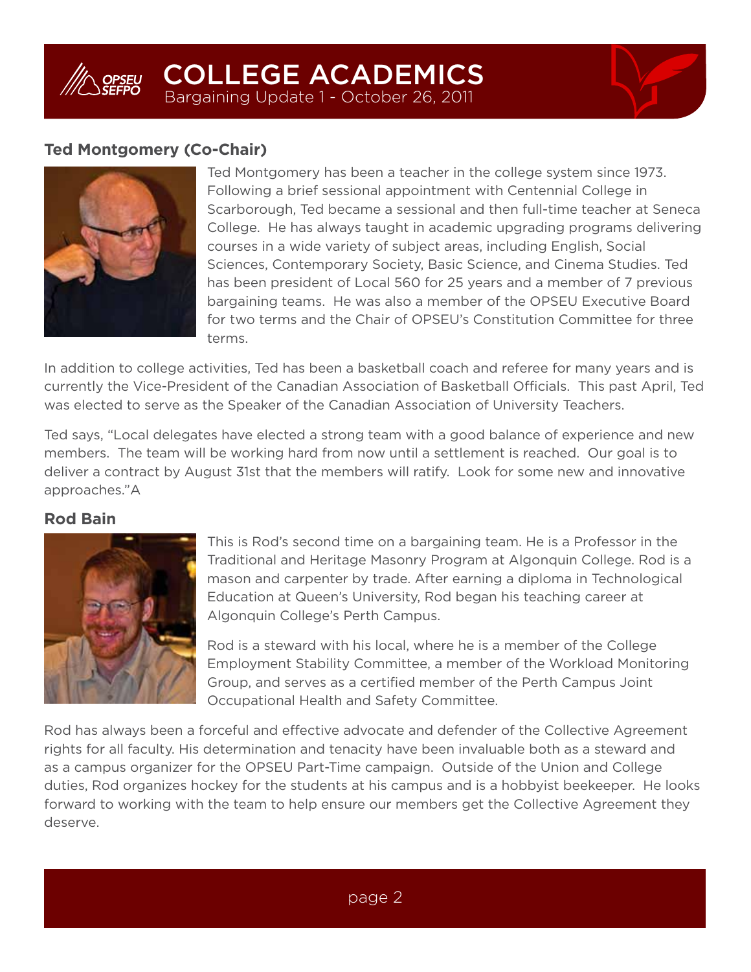

## **Ted Montgomery (Co-Chair)**



Ted Montgomery has been a teacher in the college system since 1973. Following a brief sessional appointment with Centennial College in Scarborough, Ted became a sessional and then full-time teacher at Seneca College. He has always taught in academic upgrading programs delivering courses in a wide variety of subject areas, including English, Social Sciences, Contemporary Society, Basic Science, and Cinema Studies. Ted has been president of Local 560 for 25 years and a member of 7 previous bargaining teams. He was also a member of the OPSEU Executive Board for two terms and the Chair of OPSEU's Constitution Committee for three terms.

In addition to college activities, Ted has been a basketball coach and referee for many years and is currently the Vice-President of the Canadian Association of Basketball Officials. This past April, Ted was elected to serve as the Speaker of the Canadian Association of University Teachers.

Ted says, "Local delegates have elected a strong team with a good balance of experience and new members. The team will be working hard from now until a settlement is reached. Our goal is to deliver a contract by August 31st that the members will ratify. Look for some new and innovative approaches."A

## **Rod Bain**



This is Rod's second time on a bargaining team. He is a Professor in the Traditional and Heritage Masonry Program at Algonquin College. Rod is a mason and carpenter by trade. After earning a diploma in Technological Education at Queen's University, Rod began his teaching career at Algonquin College's Perth Campus.

Rod is a steward with his local, where he is a member of the College Employment Stability Committee, a member of the Workload Monitoring Group, and serves as a certified member of the Perth Campus Joint Occupational Health and Safety Committee.

Rod has always been a forceful and effective advocate and defender of the Collective Agreement rights for all faculty. His determination and tenacity have been invaluable both as a steward and as a campus organizer for the OPSEU Part-Time campaign. Outside of the Union and College duties, Rod organizes hockey for the students at his campus and is a hobbyist beekeeper. He looks forward to working with the team to help ensure our members get the Collective Agreement they deserve.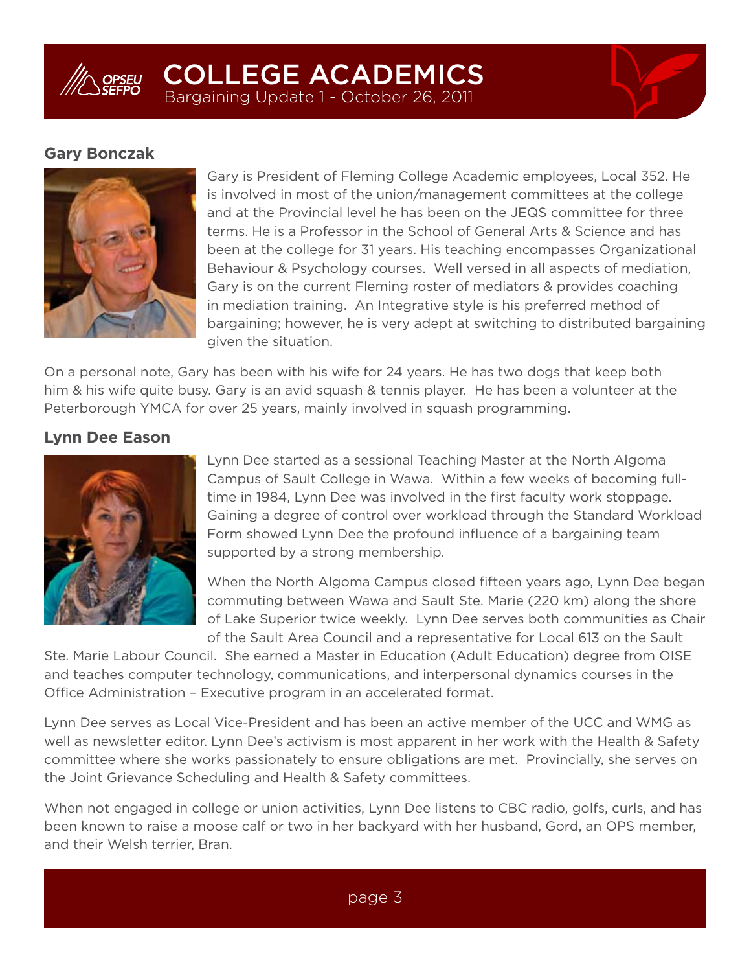

### **Gary Bonczak**



Gary is President of Fleming College Academic employees, Local 352. He is involved in most of the union/management committees at the college and at the Provincial level he has been on the JEQS committee for three terms. He is a Professor in the School of General Arts & Science and has been at the college for 31 years. His teaching encompasses Organizational Behaviour & Psychology courses. Well versed in all aspects of mediation, Gary is on the current Fleming roster of mediators & provides coaching in mediation training. An Integrative style is his preferred method of bargaining; however, he is very adept at switching to distributed bargaining given the situation.

On a personal note, Gary has been with his wife for 24 years. He has two dogs that keep both him & his wife quite busy. Gary is an avid squash & tennis player. He has been a volunteer at the Peterborough YMCA for over 25 years, mainly involved in squash programming.

#### **Lynn Dee Eason**



Lynn Dee started as a sessional Teaching Master at the North Algoma Campus of Sault College in Wawa. Within a few weeks of becoming fulltime in 1984, Lynn Dee was involved in the first faculty work stoppage. Gaining a degree of control over workload through the Standard Workload Form showed Lynn Dee the profound influence of a bargaining team supported by a strong membership.

When the North Algoma Campus closed fifteen years ago, Lynn Dee began commuting between Wawa and Sault Ste. Marie (220 km) along the shore of Lake Superior twice weekly. Lynn Dee serves both communities as Chair of the Sault Area Council and a representative for Local 613 on the Sault

Ste. Marie Labour Council. She earned a Master in Education (Adult Education) degree from OISE and teaches computer technology, communications, and interpersonal dynamics courses in the Office Administration – Executive program in an accelerated format.

Lynn Dee serves as Local Vice-President and has been an active member of the UCC and WMG as well as newsletter editor. Lynn Dee's activism is most apparent in her work with the Health & Safety committee where she works passionately to ensure obligations are met. Provincially, she serves on the Joint Grievance Scheduling and Health & Safety committees.

When not engaged in college or union activities, Lynn Dee listens to CBC radio, golfs, curls, and has been known to raise a moose calf or two in her backyard with her husband, Gord, an OPS member, and their Welsh terrier, Bran.